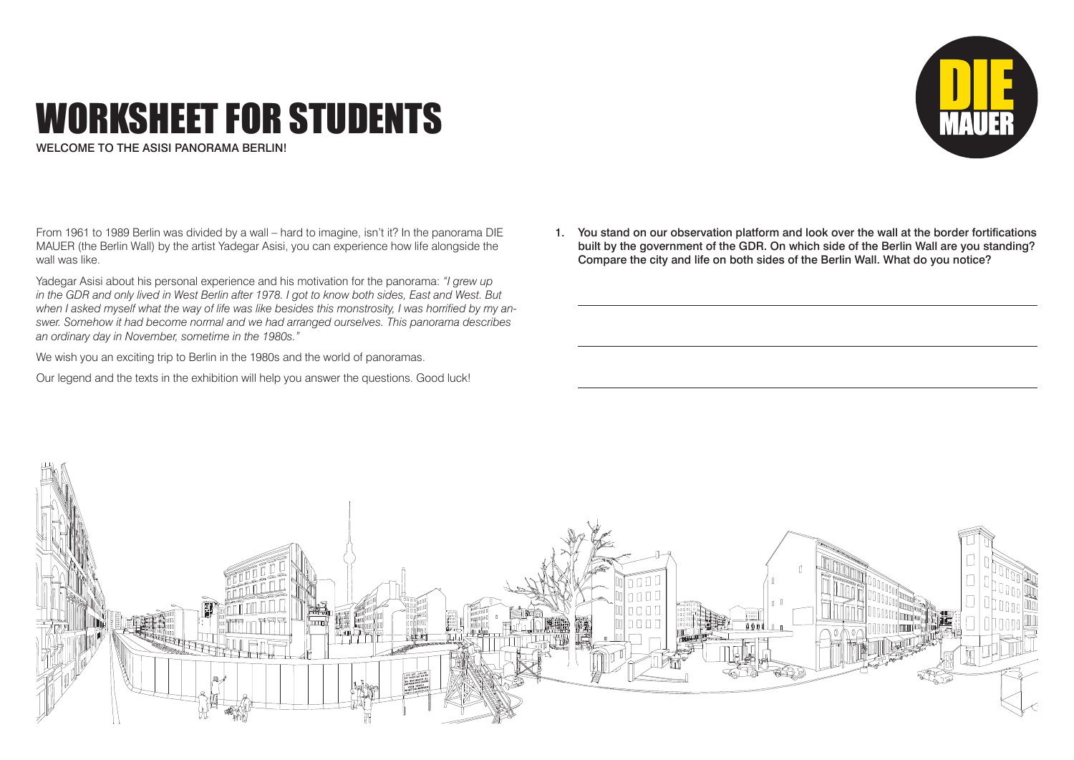## WORKSHEET FOR STUDENTS

WELCOME TO THE ASISI PANORAMA BERLIN!

From 1961 to 1989 Berlin was divided by a wall – hard to imagine, isn't it? In the panorama DIE MAUER (the Berlin Wall) by the artist Yadegar Asisi, you can experience how life alongside the wall was like.

Yadegar Asisi about his personal experience and his motivation for the panorama: *"I grew up in the GDR and only lived in West Berlin after 1978. I got to know both sides, East and West. But when I asked myself what the way of life was like besides this monstrosity, I was horrified by my answer. Somehow it had become normal and we had arranged ourselves. This panorama describes an ordinary day in November, sometime in the 1980s."*

We wish you an exciting trip to Berlin in the 1980s and the world of panoramas.

Our legend and the texts in the exhibition will help you answer the questions. Good luck!

1. You stand on our observation platform and look over the wall at the border fortifications built by the government of the GDR. On which side of the Berlin Wall are you standing? Compare the city and life on both sides of the Berlin Wall. What do you notice?